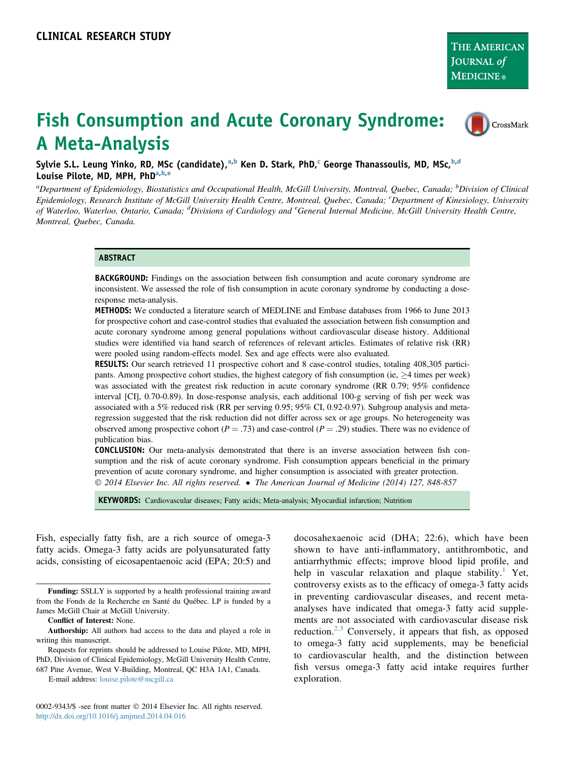CrossMark

# Fish Consumption and Acute Coronary Syndrome: A Meta-Analysis

Sylvie S.L. Leung Yinko, RD, MSc (candidate), a,b Ken D. Stark, PhD,<sup>c</sup> George Thanassoulis, MD, MSc, b,d Louise Pilote, MD, MPH, PhDa,b,e

<sup>a</sup>Department of Epidemiology, Biostatistics and Occupational Health, McGill University, Montreal, Quebec, Canada; <sup>b</sup>Division of Clinical Epidemiology, Research Institute of McGill University Health Centre, Montreal, Quebec, Canada; <sup>c</sup>Department of Kinesiology, University of Waterloo, Waterloo, Ontario, Canada; <sup>d</sup>Divisions of Cardiology and <sup>e</sup>General Internal Medicine, McGill University Health Centre, Montreal, Quebec, Canada.

#### **ABSTRACT**

BACKGROUND: Findings on the association between fish consumption and acute coronary syndrome are inconsistent. We assessed the role of fish consumption in acute coronary syndrome by conducting a doseresponse meta-analysis.

METHODS: We conducted a literature search of MEDLINE and Embase databases from 1966 to June 2013 for prospective cohort and case-control studies that evaluated the association between fish consumption and acute coronary syndrome among general populations without cardiovascular disease history. Additional studies were identified via hand search of references of relevant articles. Estimates of relative risk (RR) were pooled using random-effects model. Sex and age effects were also evaluated.

RESULTS: Our search retrieved 11 prospective cohort and 8 case-control studies, totaling 408,305 participants. Among prospective cohort studies, the highest category of fish consumption (ie,  $\geq 4$  times per week) was associated with the greatest risk reduction in acute coronary syndrome (RR 0.79; 95% confidence interval [CI], 0.70-0.89). In dose-response analysis, each additional 100-g serving of fish per week was associated with a 5% reduced risk (RR per serving 0.95; 95% CI, 0.92-0.97). Subgroup analysis and metaregression suggested that the risk reduction did not differ across sex or age groups. No heterogeneity was observed among prospective cohort ( $P = .73$ ) and case-control ( $P = .29$ ) studies. There was no evidence of publication bias.

CONCLUSION: Our meta-analysis demonstrated that there is an inverse association between fish consumption and the risk of acute coronary syndrome. Fish consumption appears beneficial in the primary prevention of acute coronary syndrome, and higher consumption is associated with greater protection. 2014 Elsevier Inc. All rights reserved. The American Journal of Medicine (2014) 127, 848-857

KEYWORDS: Cardiovascular diseases; Fatty acids; Meta-analysis; Myocardial infarction; Nutrition

Fish, especially fatty fish, are a rich source of omega-3 fatty acids. Omega-3 fatty acids are polyunsaturated fatty acids, consisting of eicosapentaenoic acid (EPA; 20:5) and

Funding: SSLLY is supported by a health professional training award from the Fonds de la Recherche en Santé du Québec. LP is funded by a James McGill Chair at McGill University.

Conflict of Interest: None.

E-mail address: [louise.pilote@mcgill.ca](mailto:louise.pilote@mcgill.ca)

0002-9343/\$ -see front matter  $\odot$  2014 Elsevier Inc. All rights reserved. <http://dx.doi.org/10.1016/j.amjmed.2014.04.016>

docosahexaenoic acid (DHA; 22:6), which have been shown to have anti-inflammatory, antithrombotic, and antiarrhythmic effects; improve blood lipid profile, and help in vascular relaxation and plaque stability.<sup>1</sup> Yet, controversy exists as to the efficacy of omega-3 fatty acids in preventing cardiovascular diseases, and recent metaanalyses have indicated that omega-3 fatty acid supplements are not associated with cardiovascular disease risk reduction.[2,3](#page-8-0) Conversely, it appears that fish, as opposed to omega-3 fatty acid supplements, may be beneficial to cardiovascular health, and the distinction between fish versus omega-3 fatty acid intake requires further exploration.

Authorship: All authors had access to the data and played a role in writing this manuscript.

Requests for reprints should be addressed to Louise Pilote, MD, MPH, PhD, Division of Clinical Epidemiology, McGill University Health Centre, 687 Pine Avenue, West V-Building, Montreal, QC H3A 1A1, Canada.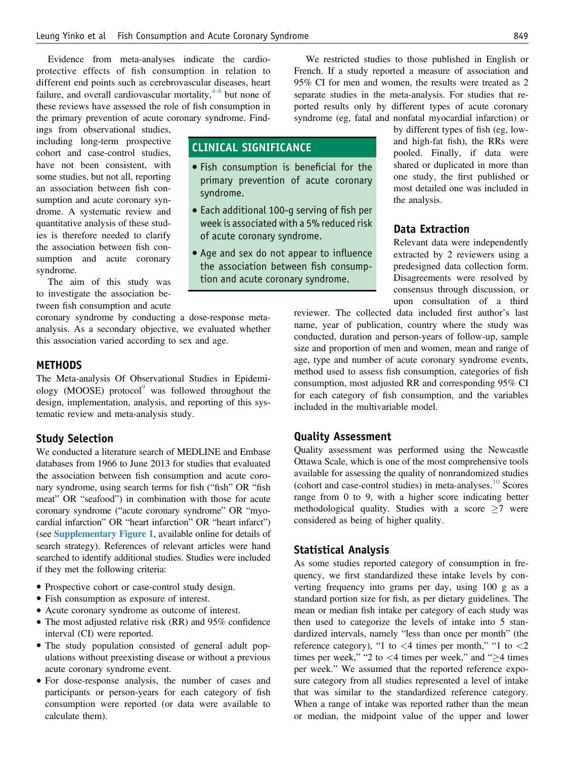Evidence from meta-analyses indicate the cardioprotective effects of fish consumption in relation to different end points such as cerebrovascular diseases, heart failure, and overall cardiovascular mortality, $4-8$  but none of these reviews have assessed the role of fish consumption in the primary prevention of acute coronary syndrome. Find-

ings from observational studies, including long-term prospective cohort and case-control studies, have not been consistent, with some studies, but not all, reporting an association between fish consumption and acute coronary syndrome. A systematic review and quantitative analysis of these studies is therefore needed to clarify the association between fish consumption and acute coronary syndrome.

The aim of this study was to investigate the association between fish consumption and acute

coronary syndrome by conducting a dose-response metaanalysis. As a secondary objective, we evaluated whether this association varied according to sex and age.

# **METHODS**

The Meta-analysis Of Observational Studies in Epidemiology (MOOSE) protocol $9$  was followed throughout the design, implementation, analysis, and reporting of this systematic review and meta-analysis study.

### Study Selection

We conducted a literature search of MEDLINE and Embase databases from 1966 to June 2013 for studies that evaluated the association between fish consumption and acute coronary syndrome, using search terms for fish ("fish" OR "fish meat" OR "seafood") in combination with those for acute coronary syndrome ("acute coronary syndrome" OR "myocardial infarction" OR "heart infarction" OR "heart infarct") (see Supplementary Figure 1, available online for details of search strategy). References of relevant articles were hand searched to identify additional studies. Studies were included if they met the following criteria:

- Prospective cohort or case-control study design.
- Fish consumption as exposure of interest.
- Acute coronary syndrome as outcome of interest.
- The most adjusted relative risk (RR) and 95% confidence interval (CI) were reported.
- The study population consisted of general adult populations without preexisting disease or without a previous acute coronary syndrome event.
- For dose-response analysis, the number of cases and participants or person-years for each category of fish consumption were reported (or data were available to calculate them).

We restricted studies to those published in English or French. If a study reported a measure of association and 95% CI for men and women, the results were treated as 2 separate studies in the meta-analysis. For studies that reported results only by different types of acute coronary syndrome (eg, fatal and nonfatal myocardial infarction) or

# CLINICAL SIGNIFICANCE

- Fish consumption is beneficial for the primary prevention of acute coronary syndrome.
- Each additional 100-g serving of fish per week is associated with a 5% reduced risk of acute coronary syndrome.
- Age and sex do not appear to influence the association between fish consumption and acute coronary syndrome.

by different types of fish (eg, lowand high-fat fish), the RRs were pooled. Finally, if data were shared or duplicated in more than one study, the first published or most detailed one was included in the analysis.

# Data Extraction

Relevant data were independently extracted by 2 reviewers using a predesigned data collection form. Disagreements were resolved by consensus through discussion, or upon consultation of a third

reviewer. The collected data included first author's last name, year of publication, country where the study was conducted, duration and person-years of follow-up, sample size and proportion of men and women, mean and range of age, type and number of acute coronary syndrome events, method used to assess fish consumption, categories of fish consumption, most adjusted RR and corresponding 95% CI for each category of fish consumption, and the variables included in the multivariable model.

# Quality Assessment

Quality assessment was performed using the Newcastle Ottawa Scale, which is one of the most comprehensive tools available for assessing the quality of nonrandomized studies (cohort and case-control studies) in meta-analyses.[10](#page-8-0) Scores range from 0 to 9, with a higher score indicating better methodological quality. Studies with a score  $\geq 7$  were considered as being of higher quality.

## Statistical Analysis

As some studies reported category of consumption in frequency, we first standardized these intake levels by converting frequency into grams per day, using 100 g as a standard portion size for fish, as per dietary guidelines. The mean or median fish intake per category of each study was then used to categorize the levels of intake into 5 standardized intervals, namely "less than once per month" (the reference category), "1 to  $\lt$ 4 times per month," "1 to  $\lt$ 2 times per week," "2 to  $\lt$ 4 times per week," and " $\geq$ 4 times per week." We assumed that the reported reference exposure category from all studies represented a level of intake that was similar to the standardized reference category. When a range of intake was reported rather than the mean or median, the midpoint value of the upper and lower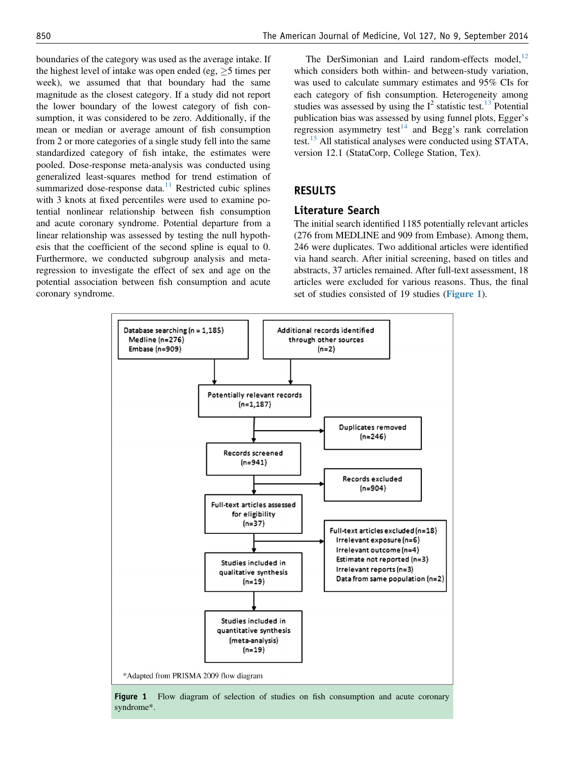boundaries of the category was used as the average intake. If the highest level of intake was open ended (eg,  $\geq$  5 times per week), we assumed that that boundary had the same magnitude as the closest category. If a study did not report the lower boundary of the lowest category of fish consumption, it was considered to be zero. Additionally, if the mean or median or average amount of fish consumption from 2 or more categories of a single study fell into the same standardized category of fish intake, the estimates were pooled. Dose-response meta-analysis was conducted using generalized least-squares method for trend estimation of summarized dose-response data.<sup>[11](#page-8-0)</sup> Restricted cubic splines with 3 knots at fixed percentiles were used to examine potential nonlinear relationship between fish consumption and acute coronary syndrome. Potential departure from a linear relationship was assessed by testing the null hypothesis that the coefficient of the second spline is equal to 0. Furthermore, we conducted subgroup analysis and metaregression to investigate the effect of sex and age on the potential association between fish consumption and acute coronary syndrome.

The DerSimonian and Laird random-effects model, $^{12}$  $^{12}$  $^{12}$ which considers both within- and between-study variation, was used to calculate summary estimates and 95% CIs for each category of fish consumption. Heterogeneity among studies was assessed by using the  $I^2$  statistic test.<sup>[13](#page-8-0)</sup> Potential publication bias was assessed by using funnel plots, Egger's regression asymmetry test<sup>[14](#page-8-0)</sup> and Begg's rank correlation test.[15](#page-8-0) All statistical analyses were conducted using STATA, version 12.1 (StataCorp, College Station, Tex).

# RESULTS

# Literature Search

The initial search identified 1185 potentially relevant articles (276 from MEDLINE and 909 from Embase). Among them, 246 were duplicates. Two additional articles were identified via hand search. After initial screening, based on titles and abstracts, 37 articles remained. After full-text assessment, 18 articles were excluded for various reasons. Thus, the final set of studies consisted of 19 studies (Figure 1).



Figure 1 Flow diagram of selection of studies on fish consumption and acute coronary syndrome\*.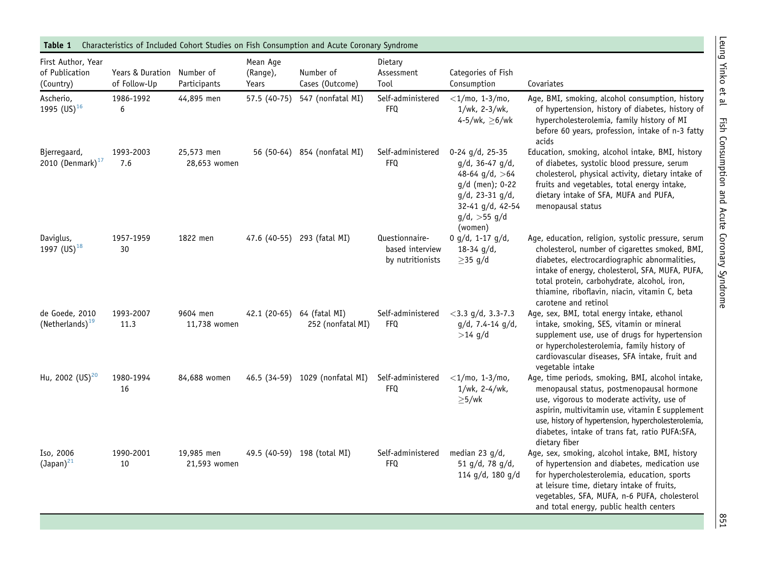<span id="page-3-0"></span>

| Table 1                                           |                                            |                            |                               | Characteristics of Included Cohort Studies on Fish Consumption and Acute Coronary Syndrome |                                                       |                                                                                                                                                                   |                                                                                                                                                                                                                                                                                                                                  |
|---------------------------------------------------|--------------------------------------------|----------------------------|-------------------------------|--------------------------------------------------------------------------------------------|-------------------------------------------------------|-------------------------------------------------------------------------------------------------------------------------------------------------------------------|----------------------------------------------------------------------------------------------------------------------------------------------------------------------------------------------------------------------------------------------------------------------------------------------------------------------------------|
| First Author, Year<br>of Publication<br>(Country) | Years & Duration Number of<br>of Follow-Up | Participants               | Mean Age<br>(Range),<br>Years | Number of<br>Cases (Outcome)                                                               | Dietary<br>Assessment<br>Tool                         | Categories of Fish<br>Consumption                                                                                                                                 | Covariates                                                                                                                                                                                                                                                                                                                       |
| Ascherio,<br>1995 $(US)^{16}$                     | 1986-1992<br>6                             | 44,895 men                 |                               | 57.5 (40-75) 547 (nonfatal MI)                                                             | Self-administered<br><b>FFQ</b>                       | $<$ 1/mo, 1-3/mo,<br>1/wk, 2-3/wk,<br>4-5/wk, $\geq 6$ /wk                                                                                                        | Age, BMI, smoking, alcohol consumption, history<br>of hypertension, history of diabetes, history of<br>hypercholesterolemia, family history of MI<br>before 60 years, profession, intake of n-3 fatty<br>acids                                                                                                                   |
| Bjerregaard,<br>2010 (Denmark) $17$               | 1993-2003<br>7.6                           | 25,573 men<br>28,653 women |                               | 56 (50-64) 854 (nonfatal MI)                                                               | Self-administered<br><b>FFQ</b>                       | $0-24$ g/d, 25-35<br>$g/d$ , 36-47 $g/d$ ,<br>48-64 $g/d$ , >64<br>$g/d$ (men); 0-22<br>$q/d$ , 23-31 $q/d$ ,<br>32-41 g/d, 42-54<br>$q/d$ , >55 $q/d$<br>(women) | Education, smoking, alcohol intake, BMI, history<br>of diabetes, systolic blood pressure, serum<br>cholesterol, physical activity, dietary intake of<br>fruits and vegetables, total energy intake,<br>dietary intake of SFA, MUFA and PUFA,<br>menopausal status                                                                |
| Daviglus,<br>1997 (US) <sup>18</sup>              | 1957-1959<br>30                            | 1822 men                   |                               | 47.6 (40-55) 293 (fatal MI)                                                                | Questionnaire-<br>based interview<br>by nutritionists | 0 g/d, 1-17 g/d,<br>$18-34$ g/d,<br>$\geq$ 35 g/d                                                                                                                 | Age, education, religion, systolic pressure, serum<br>cholesterol, number of cigarettes smoked, BMI,<br>diabetes, electrocardiographic abnormalities,<br>intake of energy, cholesterol, SFA, MUFA, PUFA,<br>total protein, carbohydrate, alcohol, iron,<br>thiamine, riboflavin, niacin, vitamin C, beta<br>carotene and retinol |
| de Goede, 2010<br>(Netherlands) <sup>19</sup>     | 1993-2007<br>11.3                          | 9604 men<br>11,738 women   |                               | 42.1 (20-65) 64 (fatal MI)<br>252 (nonfatal MI)                                            | Self-administered<br>FFQ                              | $<$ 3.3 g/d, 3.3-7.3<br>$g/d$ , 7.4-14 $g/d$ ,<br>$>14$ g/d                                                                                                       | Age, sex, BMI, total energy intake, ethanol<br>intake, smoking, SES, vitamin or mineral<br>supplement use, use of drugs for hypertension<br>or hypercholesterolemia, family history of<br>cardiovascular diseases, SFA intake, fruit and<br>vegetable intake                                                                     |
| Hu, 2002 (US) <sup>20</sup>                       | 1980-1994<br>16                            | 84,688 women               |                               | 46.5 (34-59) 1029 (nonfatal MI)                                                            | Self-administered<br><b>FFQ</b>                       | $<$ 1/mo, 1-3/mo,<br>1/wk, 2-4/wk,<br>$\geq$ 5/wk                                                                                                                 | Age, time periods, smoking, BMI, alcohol intake,<br>menopausal status, postmenopausal hormone<br>use, vigorous to moderate activity, use of<br>aspirin, multivitamin use, vitamin E supplement<br>use, history of hypertension, hypercholesterolemia,<br>diabetes, intake of trans fat, ratio PUFA:SFA,<br>dietary fiber         |
| Iso, 2006<br>$\text{(Japan)}^{\text{21}}$         | 1990-2001<br>10                            | 19,985 men<br>21,593 women |                               | 49.5 (40-59) 198 (total MI)                                                                | Self-administered<br><b>FFQ</b>                       | median 23 $g/d$ ,<br>51 g/d, 78 g/d,<br>114 g/d, 180 g/d                                                                                                          | Age, sex, smoking, alcohol intake, BMI, history<br>of hypertension and diabetes, medication use<br>for hypercholesterolemia, education, sports<br>at leisure time, dietary intake of fruits,<br>vegetables, SFA, MUFA, n-6 PUFA, cholesterol<br>and total energy, public health centers                                          |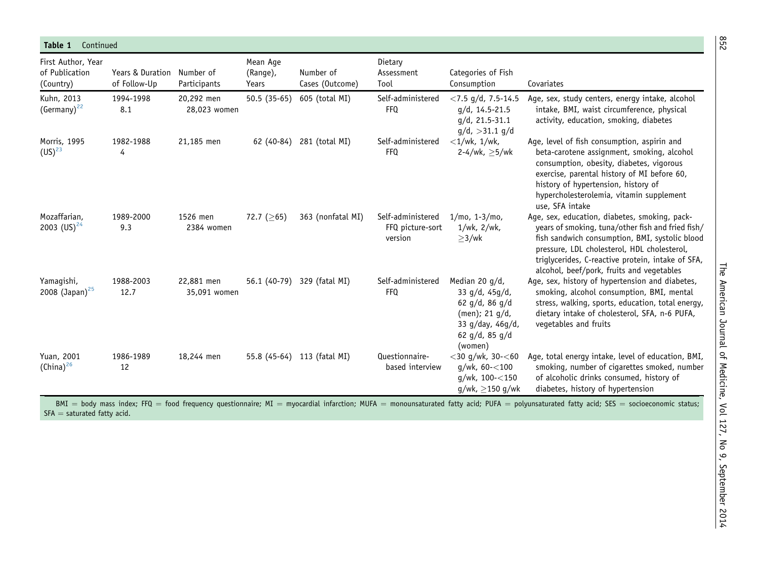| Table 1<br>Continued                              |                                  |                            |                               |                              |                                                  |                                                                                                                                   |                                                                                                                                                                                                                                                                                                       |
|---------------------------------------------------|----------------------------------|----------------------------|-------------------------------|------------------------------|--------------------------------------------------|-----------------------------------------------------------------------------------------------------------------------------------|-------------------------------------------------------------------------------------------------------------------------------------------------------------------------------------------------------------------------------------------------------------------------------------------------------|
| First Author, Year<br>of Publication<br>(Country) | Years & Duration<br>of Follow-Up | Number of<br>Participants  | Mean Age<br>(Range),<br>Years | Number of<br>Cases (Outcome) | Dietary<br>Assessment<br>Tool                    | Categories of Fish<br>Consumption                                                                                                 | Covariates                                                                                                                                                                                                                                                                                            |
| Kuhn, 2013<br>$(Germany)^{22}$                    | 1994-1998<br>8.1                 | 20,292 men<br>28,023 women | $50.5(35-65)$                 | 605 (total MI)               | Self-administered<br><b>FFQ</b>                  | $<$ 7.5 g/d, 7.5-14.5<br>$q/d$ , 14.5-21.5<br>$q/d$ , 21.5-31.1<br>$q/d$ , >31.1 $q/d$                                            | Age, sex, study centers, energy intake, alcohol<br>intake, BMI, waist circumference, physical<br>activity, education, smoking, diabetes                                                                                                                                                               |
| Morris, 1995<br>$(US)^{23}$                       | 1982-1988<br>4                   | 21,185 men                 |                               | 62 (40-84) 281 (total MI)    | Self-administered<br><b>FFQ</b>                  | $\langle 1/wk, 1/wk,$<br>2-4/wk, $>5$ /wk                                                                                         | Age, level of fish consumption, aspirin and<br>beta-carotene assignment, smoking, alcohol<br>consumption, obesity, diabetes, vigorous<br>exercise, parental history of MI before 60,<br>history of hypertension, history of<br>hypercholesterolemia, vitamin supplement<br>use, SFA intake            |
| Mozaffarian,<br>2003 (US) <sup>24</sup>           | 1989-2000<br>9.3                 | 1526 men<br>2384 women     | 72.7 ( $\geq$ 65)             | 363 (nonfatal MI)            | Self-administered<br>FFQ picture-sort<br>version | $1/mo, 1-3/mo,$<br>1/wk, 2/wk,<br>$\geq$ 3/wk                                                                                     | Age, sex, education, diabetes, smoking, pack-<br>years of smoking, tuna/other fish and fried fish/<br>fish sandwich consumption, BMI, systolic blood<br>pressure, LDL cholesterol, HDL cholesterol,<br>triglycerides, C-reactive protein, intake of SFA,<br>alcohol, beef/pork, fruits and vegetables |
| Yamagishi,<br>2008 (Japan) <sup>25</sup>          | 1988-2003<br>12.7                | 22,881 men<br>35,091 women |                               | 56.1 (40-79) 329 (fatal MI)  | Self-administered<br><b>FFQ</b>                  | Median 20 g/d,<br>33 g/d, 45g/d,<br>62 $g/d$ , 86 $g/d$<br>(men); $21$ g/d,<br>33 g/day, 46g/d,<br>62 $g/d$ , 85 $g/d$<br>(women) | Age, sex, history of hypertension and diabetes,<br>smoking, alcohol consumption, BMI, mental<br>stress, walking, sports, education, total energy,<br>dietary intake of cholesterol, SFA, n-6 PUFA,<br>vegetables and fruits                                                                           |
| Yuan, 2001<br>$(China)^{26}$                      | 1986-1989<br>12                  | 18,244 men                 |                               | 55.8 (45-64) 113 (fatal MI)  | Questionnaire-<br>based interview                | $<$ 30 g/wk, 30- $<$ 60<br>$g/wk, 60 - < 100$<br>$q/wk$ , 100- $<$ 150<br>q/wk, > 150 q/wk                                        | Age, total energy intake, level of education, BMI,<br>smoking, number of cigarettes smoked, number<br>of alcoholic drinks consumed, history of<br>diabetes, history of hypertension                                                                                                                   |

BMI  $=$  body mass index; FFQ  $=$  food frequency questionnaire; MI  $=$  myocardial infarction; MUFA  $=$  monounsaturated fatty acid; PUFA  $=$  polyunsaturated fatty acid; SES  $=$  socioeconomic status; SFA  $=$  saturated fatty acid.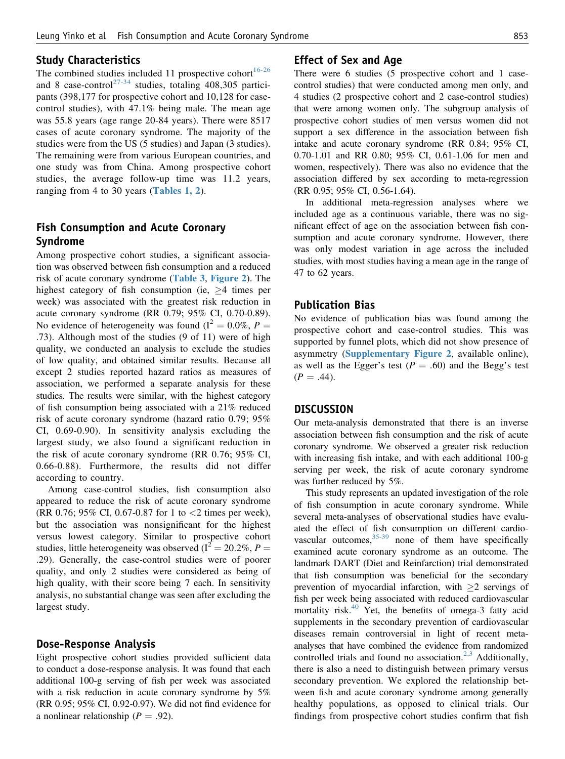#### Study Characteristics

The combined studies included 11 prospective cohort<sup>[16-26](#page-8-0)</sup> and 8 case-control<sup>[27-34](#page-9-0)</sup> studies, totaling 408,305 participants (398,177 for prospective cohort and 10,128 for casecontrol studies), with 47.1% being male. The mean age was 55.8 years (age range 20-84 years). There were 8517 cases of acute coronary syndrome. The majority of the studies were from the US (5 studies) and Japan (3 studies). The remaining were from various European countries, and one study was from China. Among prospective cohort studies, the average follow-up time was 11.2 years, ranging from 4 to 30 years ([Tables 1, 2](#page-3-0)).

# Fish Consumption and Acute Coronary Syndrome

Among prospective cohort studies, a significant association was observed between fish consumption and a reduced risk of acute coronary syndrome ([Table 3](#page-7-0), [Figure 2](#page-7-0)). The highest category of fish consumption (ie,  $>4$  times per week) was associated with the greatest risk reduction in acute coronary syndrome (RR 0.79; 95% CI, 0.70-0.89). No evidence of heterogeneity was found ( $I^2 = 0.0\%$ ,  $P =$ .73). Although most of the studies (9 of 11) were of high quality, we conducted an analysis to exclude the studies of low quality, and obtained similar results. Because all except 2 studies reported hazard ratios as measures of association, we performed a separate analysis for these studies. The results were similar, with the highest category of fish consumption being associated with a 21% reduced risk of acute coronary syndrome (hazard ratio 0.79; 95% CI, 0.69-0.90). In sensitivity analysis excluding the largest study, we also found a significant reduction in the risk of acute coronary syndrome (RR 0.76; 95% CI, 0.66-0.88). Furthermore, the results did not differ according to country.

Among case-control studies, fish consumption also appeared to reduce the risk of acute coronary syndrome (RR 0.76; 95% CI, 0.67-0.87 for 1 to <2 times per week), but the association was nonsignificant for the highest versus lowest category. Similar to prospective cohort studies, little heterogeneity was observed ( $I^2 = 20.2\%$ ,  $P =$ .29). Generally, the case-control studies were of poorer quality, and only 2 studies were considered as being of high quality, with their score being 7 each. In sensitivity analysis, no substantial change was seen after excluding the largest study.

# Dose-Response Analysis

Eight prospective cohort studies provided sufficient data to conduct a dose-response analysis. It was found that each additional 100-g serving of fish per week was associated with a risk reduction in acute coronary syndrome by 5% (RR 0.95; 95% CI, 0.92-0.97). We did not find evidence for a nonlinear relationship ( $P = .92$ ).

### Effect of Sex and Age

There were 6 studies (5 prospective cohort and 1 casecontrol studies) that were conducted among men only, and 4 studies (2 prospective cohort and 2 case-control studies) that were among women only. The subgroup analysis of prospective cohort studies of men versus women did not support a sex difference in the association between fish intake and acute coronary syndrome (RR 0.84; 95% CI, 0.70-1.01 and RR 0.80; 95% CI, 0.61-1.06 for men and women, respectively). There was also no evidence that the association differed by sex according to meta-regression (RR 0.95; 95% CI, 0.56-1.64).

In additional meta-regression analyses where we included age as a continuous variable, there was no significant effect of age on the association between fish consumption and acute coronary syndrome. However, there was only modest variation in age across the included studies, with most studies having a mean age in the range of 47 to 62 years.

#### Publication Bias

No evidence of publication bias was found among the prospective cohort and case-control studies. This was supported by funnel plots, which did not show presence of asymmetry (Supplementary Figure 2, available online), as well as the Egger's test ( $P = .60$ ) and the Begg's test  $(P = .44)$ .

#### **DISCUSSION**

Our meta-analysis demonstrated that there is an inverse association between fish consumption and the risk of acute coronary syndrome. We observed a greater risk reduction with increasing fish intake, and with each additional 100-g serving per week, the risk of acute coronary syndrome was further reduced by 5%.

This study represents an updated investigation of the role of fish consumption in acute coronary syndrome. While several meta-analyses of observational studies have evaluated the effect of fish consumption on different cardiovascular outcomes,  $35-39$  none of them have specifically examined acute coronary syndrome as an outcome. The landmark DART (Diet and Reinfarction) trial demonstrated that fish consumption was beneficial for the secondary prevention of myocardial infarction, with  $\geq 2$  servings of fish per week being associated with reduced cardiovascular mortality risk.[40](#page-9-0) Yet, the benefits of omega-3 fatty acid supplements in the secondary prevention of cardiovascular diseases remain controversial in light of recent metaanalyses that have combined the evidence from randomized controlled trials and found no association.<sup>[2,3](#page-8-0)</sup> Additionally, there is also a need to distinguish between primary versus secondary prevention. We explored the relationship between fish and acute coronary syndrome among generally healthy populations, as opposed to clinical trials. Our findings from prospective cohort studies confirm that fish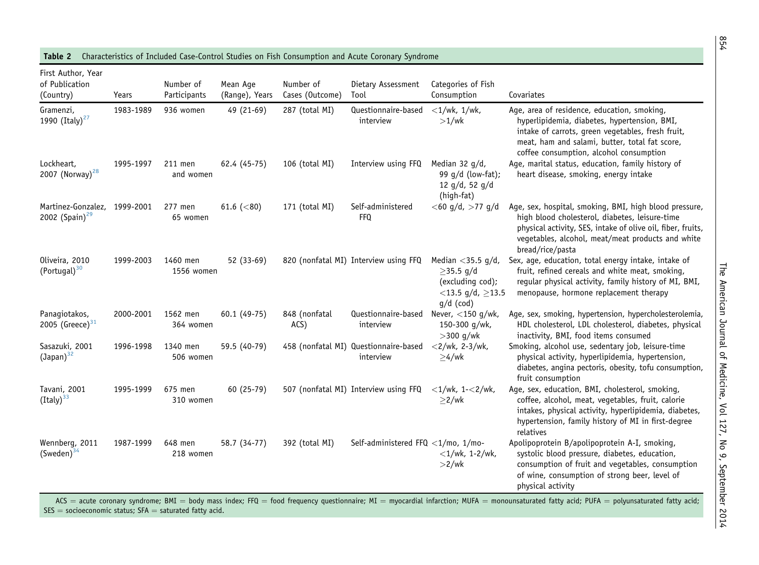| First Author, Year<br>of Publication<br>(Country) | Years     | Number of<br>Participants | Mean Age<br>(Range), Years | Number of<br>Cases (Outcome) | Dietary Assessment<br>Tool                         | Categories of Fish<br>Consumption                                                                    | Covariates                                                                                                                                                                                                                                       |
|---------------------------------------------------|-----------|---------------------------|----------------------------|------------------------------|----------------------------------------------------|------------------------------------------------------------------------------------------------------|--------------------------------------------------------------------------------------------------------------------------------------------------------------------------------------------------------------------------------------------------|
| Gramenzi,<br>1990 (Italy) <sup>27</sup>           | 1983-1989 | 936 women                 | 49 (21-69)                 | 287 (total MI)               | Questionnaire-based<br>interview                   | $\langle 1/wk, 1/wk,$<br>$>1$ /wk                                                                    | Age, area of residence, education, smoking,<br>hyperlipidemia, diabetes, hypertension, BMI,<br>intake of carrots, green vegetables, fresh fruit,<br>meat, ham and salami, butter, total fat score,<br>coffee consumption, alcohol consumption    |
| Lockheart,<br>2007 (Norway) <sup>28</sup>         | 1995-1997 | 211 men<br>and women      | 62.4 (45-75)               | 106 (total MI)               | Interview using FFQ                                | Median 32 g/d,<br>99 g/d (low-fat);<br>12 $g/d$ , 52 $g/d$<br>(high-fat)                             | Age, marital status, education, family history of<br>heart disease, smoking, energy intake                                                                                                                                                       |
| Martinez-Gonzalez,<br>2002 (Spain) <sup>29</sup>  | 1999-2001 | 277 men<br>65 women       | 61.6 $(< 80)$              | 171 (total MI)               | Self-administered<br><b>FFQ</b>                    | $<$ 60 g/d, $>$ 77 g/d                                                                               | Age, sex, hospital, smoking, BMI, high blood pressure,<br>high blood cholesterol, diabetes, leisure-time<br>physical activity, SES, intake of olive oil, fiber, fruits,<br>vegetables, alcohol, meat/meat products and white<br>bread/rice/pasta |
| Oliveira, 2010<br>(Portugal) <sup>30</sup>        | 1999-2003 | 1460 men<br>1556 women    | 52 (33-69)                 |                              | 820 (nonfatal MI) Interview using FFQ              | Median $<$ 35.5 g/d,<br>$\geq$ 35.5 g/d<br>(excluding cod);<br><13.5 g/d, $\geq$ 13.5<br>$g/d$ (cod) | Sex, age, education, total energy intake, intake of<br>fruit, refined cereals and white meat, smoking,<br>regular physical activity, family history of MI, BMI,<br>menopause, hormone replacement therapy                                        |
| Panagiotakos,<br>2005 (Greece) $31$               | 2000-2001 | 1562 men<br>364 women     | $60.1(49-75)$              | 848 (nonfatal<br>ACS)        | Questionnaire-based<br>interview                   | Never, $<$ 150 g/wk,<br>150-300 g/wk,<br>$>$ 300 g/wk                                                | Age, sex, smoking, hypertension, hypercholesterolemia,<br>HDL cholesterol, LDL cholesterol, diabetes, physical<br>inactivity, BMI, food items consumed                                                                                           |
| Sasazuki, 2001<br>$(Japan)^{32}$                  | 1996-1998 | 1340 men<br>506 women     | 59.5 (40-79)               |                              | 458 (nonfatal MI) Questionnaire-based<br>interview | $<$ 2/wk, 2-3/wk,<br>$\geq 4$ /wk                                                                    | Smoking, alcohol use, sedentary job, leisure-time<br>physical activity, hyperlipidemia, hypertension,<br>diabetes, angina pectoris, obesity, tofu consumption,<br>fruit consumption                                                              |
| Tavani, 2001<br>(Italy) <sup>33</sup>             | 1995-1999 | 675 men<br>310 women      | $60(25-79)$                |                              | 507 (nonfatal MI) Interview using FFQ              | $<$ 1/wk, 1- $<$ 2/wk,<br>$\geq$ 2/wk                                                                | Age, sex, education, BMI, cholesterol, smoking,<br>coffee, alcohol, meat, vegetables, fruit, calorie<br>intakes, physical activity, hyperlipidemia, diabetes,<br>hypertension, family history of MI in first-degree<br>relatives                 |
| Wennberg, 2011<br>$(Sweden)^{34}$                 | 1987-1999 | 648 men<br>218 women      | 58.7 (34-77)               | 392 (total MI)               | Self-administered FFQ <1/mo, 1/mo-                 | $<$ 1/wk, 1-2/wk,<br>$>2$ /wk                                                                        | Apolipoprotein B/apolipoprotein A-I, smoking,<br>systolic blood pressure, diabetes, education,<br>consumption of fruit and vegetables, consumption<br>of wine, consumption of strong beer, level of<br>physical activity                         |

**Table 2** Characteristics of Included Case-Control Studies on Fish Consumption and Acute Coronary Syndrome

ACS = acute coronary syndrome; BMI = body mass index; FFQ = food frequency questionnaire; MI = myocardial infarction; MUFA = monounsaturated fatty acid; PUFA = polyunsaturated fatty acid; SES  $=$  socioeconomic status; SFA  $=$  saturated fatty acid.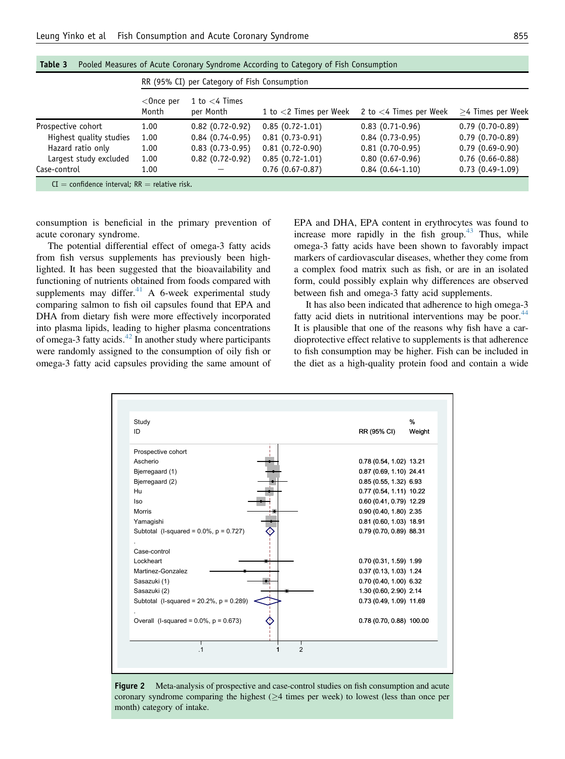<span id="page-7-0"></span>

| Table 3                                           |                       |                                              | Pooled Measures of Acute Coronary Syndrome According to Category of Fish Consumption |                           |                     |
|---------------------------------------------------|-----------------------|----------------------------------------------|--------------------------------------------------------------------------------------|---------------------------|---------------------|
|                                                   |                       | RR (95% CI) per Category of Fish Consumption |                                                                                      |                           |                     |
|                                                   | $<$ Once per<br>Month | 1 to $<$ 4 Times<br>per Month                | 1 to $<$ 2 Times per Week                                                            | 2 to $<$ 4 Times per Week | $>4$ Times per Week |
| Prospective cohort                                | 1.00                  | $0.82(0.72-0.92)$                            | $0.85(0.72-1.01)$                                                                    | $0.83(0.71-0.96)$         | $0.79(0.70-0.89)$   |
| Highest quality studies                           | 1.00                  | $0.84(0.74-0.95)$                            | $0.81(0.73-0.91)$                                                                    | $0.84(0.73-0.95)$         | $0.79(0.70-0.89)$   |
| Hazard ratio only                                 | 1.00                  | $0.83(0.73-0.95)$                            | $0.81(0.72-0.90)$                                                                    | $0.81(0.70-0.95)$         | $0.79(0.69-0.90)$   |
| Largest study excluded                            | 1.00                  | $0.82$ (0.72-0.92)                           | $0.85(0.72-1.01)$                                                                    | $0.80(0.67-0.96)$         | $0.76$ (0.66-0.88)  |
| Case-control                                      | 1.00                  |                                              | $0.76(0.67-0.87)$                                                                    | $0.84(0.64-1.10)$         | $0.73(0.49-1.09)$   |
| $CI =$ confidence interval; $RR =$ relative risk. |                       |                                              |                                                                                      |                           |                     |

consumption is beneficial in the primary prevention of acute coronary syndrome.

The potential differential effect of omega-3 fatty acids from fish versus supplements has previously been highlighted. It has been suggested that the bioavailability and functioning of nutrients obtained from foods compared with supplements may differ. $41$  A 6-week experimental study comparing salmon to fish oil capsules found that EPA and DHA from dietary fish were more effectively incorporated into plasma lipids, leading to higher plasma concentrations of omega-3 fatty acids. $42$  In another study where participants were randomly assigned to the consumption of oily fish or omega-3 fatty acid capsules providing the same amount of EPA and DHA, EPA content in erythrocytes was found to increase more rapidly in the fish group. $43$  Thus, while omega-3 fatty acids have been shown to favorably impact markers of cardiovascular diseases, whether they come from a complex food matrix such as fish, or are in an isolated form, could possibly explain why differences are observed between fish and omega-3 fatty acid supplements.

It has also been indicated that adherence to high omega-3 fatty acid diets in nutritional interventions may be poor.<sup>[44](#page-9-0)</sup> It is plausible that one of the reasons why fish have a cardioprotective effect relative to supplements is that adherence to fish consumption may be higher. Fish can be included in the diet as a high-quality protein food and contain a wide

| Study                                          | %                        |  |
|------------------------------------------------|--------------------------|--|
| ID                                             | RR (95% CI)<br>Weight    |  |
| Prospective cohort                             |                          |  |
| Ascherio                                       | 0.78 (0.54, 1.02) 13.21  |  |
| Bjerregaard (1)                                | 0.87 (0.69, 1.10) 24.41  |  |
| Bjerregaard (2)                                | 0.85 (0.55, 1.32) 6.93   |  |
| Hu                                             | 0.77 (0.54, 1.11) 10.22  |  |
| lso                                            | 0.60 (0.41, 0.79) 12.29  |  |
| <b>Morris</b>                                  | 0.90 (0.40, 1.80) 2.35   |  |
| Yamagishi                                      | 0.81 (0.60, 1.03) 18.91  |  |
| Subtotal (I-squared = $0.0\%$ , $p = 0.727$ )  | 0.79 (0.70, 0.89) 88.31  |  |
|                                                |                          |  |
| Case-control                                   |                          |  |
| Lockheart                                      | 0.70 (0.31, 1.59) 1.99   |  |
| Martinez-Gonzalez                              | 0.37 (0.13, 1.03) 1.24   |  |
| Sasazuki (1)                                   | 0.70 (0.40, 1.00) 6.32   |  |
| Sasazuki (2)                                   | 1.30 (0.60, 2.90) 2.14   |  |
| Subtotal (I-squared = $20.2\%$ , $p = 0.289$ ) | 0.73 (0.49, 1.09) 11.69  |  |
| Overall (I-squared = $0.0\%$ , $p = 0.673$ )   | 0.78 (0.70, 0.88) 100.00 |  |
|                                                |                          |  |
|                                                |                          |  |

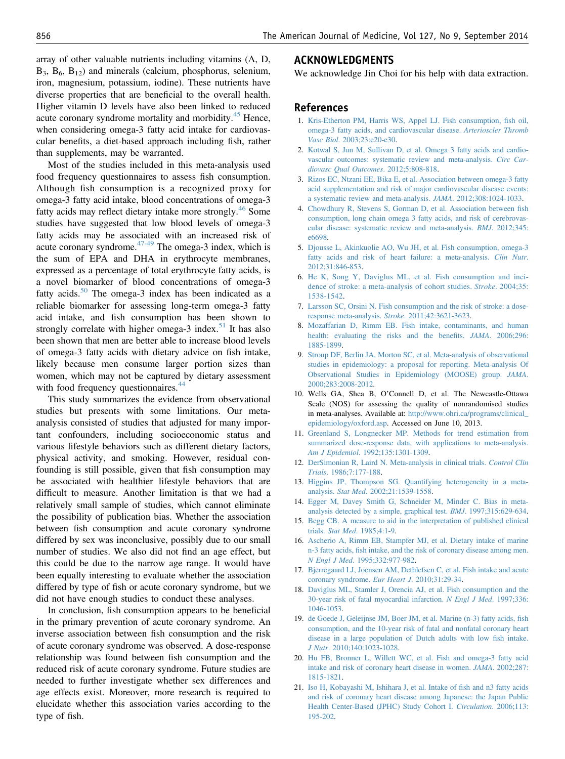<span id="page-8-0"></span>array of other valuable nutrients including vitamins (A, D,  $B_3$ ,  $B_6$ ,  $B_{12}$ ) and minerals (calcium, phosphorus, selenium, iron, magnesium, potassium, iodine). These nutrients have diverse properties that are beneficial to the overall health. Higher vitamin D levels have also been linked to reduced acute coronary syndrome mortality and morbidity.<sup>[45](#page-9-0)</sup> Hence, when considering omega-3 fatty acid intake for cardiovascular benefits, a diet-based approach including fish, rather than supplements, may be warranted.

Most of the studies included in this meta-analysis used food frequency questionnaires to assess fish consumption. Although fish consumption is a recognized proxy for omega-3 fatty acid intake, blood concentrations of omega-3 fatty acids may reflect dietary intake more strongly.<sup>[46](#page-9-0)</sup> Some studies have suggested that low blood levels of omega-3 fatty acids may be associated with an increased risk of acute coronary syndrome. $47-49$  The omega-3 index, which is the sum of EPA and DHA in erythrocyte membranes, expressed as a percentage of total erythrocyte fatty acids, is a novel biomarker of blood concentrations of omega-3 fatty acids.<sup>[50](#page-9-0)</sup> The omega-3 index has been indicated as a reliable biomarker for assessing long-term omega-3 fatty acid intake, and fish consumption has been shown to strongly correlate with higher omega-3 index. $51$  It has also been shown that men are better able to increase blood levels of omega-3 fatty acids with dietary advice on fish intake, likely because men consume larger portion sizes than women, which may not be captured by dietary assessment with food frequency questionnaires.<sup>[44](#page-9-0)</sup>

This study summarizes the evidence from observational studies but presents with some limitations. Our metaanalysis consisted of studies that adjusted for many important confounders, including socioeconomic status and various lifestyle behaviors such as different dietary factors, physical activity, and smoking. However, residual confounding is still possible, given that fish consumption may be associated with healthier lifestyle behaviors that are difficult to measure. Another limitation is that we had a relatively small sample of studies, which cannot eliminate the possibility of publication bias. Whether the association between fish consumption and acute coronary syndrome differed by sex was inconclusive, possibly due to our small number of studies. We also did not find an age effect, but this could be due to the narrow age range. It would have been equally interesting to evaluate whether the association differed by type of fish or acute coronary syndrome, but we did not have enough studies to conduct these analyses.

In conclusion, fish consumption appears to be beneficial in the primary prevention of acute coronary syndrome. An inverse association between fish consumption and the risk of acute coronary syndrome was observed. A dose-response relationship was found between fish consumption and the reduced risk of acute coronary syndrome. Future studies are needed to further investigate whether sex differences and age effects exist. Moreover, more research is required to elucidate whether this association varies according to the type of fish.

## ACKNOWLEDGMENTS

We acknowledge Jin Choi for his help with data extraction.

### References

- 1. [Kris-Etherton PM, Harris WS, Appel LJ. Fish consumption,](http://refhub.elsevier.com/S0002-9343(14)00355-6/sref1) fish oil, [omega-3 fatty acids, and cardiovascular disease.](http://refhub.elsevier.com/S0002-9343(14)00355-6/sref1) Arterioscler Thromb Vasc Biol[. 2003;23:e20-e30](http://refhub.elsevier.com/S0002-9343(14)00355-6/sref1).
- 2. [Kotwal S, Jun M, Sullivan D, et al. Omega 3 fatty acids and cardio](http://refhub.elsevier.com/S0002-9343(14)00355-6/sref2)[vascular outcomes: systematic review and meta-analysis.](http://refhub.elsevier.com/S0002-9343(14)00355-6/sref2) Circ Car[diovasc Qual Outcomes](http://refhub.elsevier.com/S0002-9343(14)00355-6/sref2). 2012;5:808-818.
- 3. [Rizos EC, Ntzani EE, Bika E, et al. Association between omega-3 fatty](http://refhub.elsevier.com/S0002-9343(14)00355-6/sref3) [acid supplementation and risk of major cardiovascular disease events:](http://refhub.elsevier.com/S0002-9343(14)00355-6/sref3) [a systematic review and meta-analysis.](http://refhub.elsevier.com/S0002-9343(14)00355-6/sref3) JAMA. 2012;308:1024-1033.
- 4. [Chowdhury R, Stevens S, Gorman D, et al. Association between](http://refhub.elsevier.com/S0002-9343(14)00355-6/sref4) fish [consumption, long chain omega 3 fatty acids, and risk of cerebrovas](http://refhub.elsevier.com/S0002-9343(14)00355-6/sref4)[cular disease: systematic review and meta-analysis.](http://refhub.elsevier.com/S0002-9343(14)00355-6/sref4) BMJ. 2012;345: [e6698](http://refhub.elsevier.com/S0002-9343(14)00355-6/sref4).
- 5. [Djousse L, Akinkuolie AO, Wu JH, et al. Fish consumption, omega-3](http://refhub.elsevier.com/S0002-9343(14)00355-6/sref5) [fatty acids and risk of heart failure: a meta-analysis.](http://refhub.elsevier.com/S0002-9343(14)00355-6/sref5) Clin Nutr. [2012;31:846-853.](http://refhub.elsevier.com/S0002-9343(14)00355-6/sref5)
- 6. [He K, Song Y, Daviglus ML, et al. Fish consumption and inci](http://refhub.elsevier.com/S0002-9343(14)00355-6/sref6)[dence of stroke: a meta-analysis of cohort studies.](http://refhub.elsevier.com/S0002-9343(14)00355-6/sref6) Stroke. 2004;35: [1538-1542.](http://refhub.elsevier.com/S0002-9343(14)00355-6/sref6)
- 7. [Larsson SC, Orsini N. Fish consumption and the risk of stroke: a dose](http://refhub.elsevier.com/S0002-9343(14)00355-6/sref7)[response meta-analysis.](http://refhub.elsevier.com/S0002-9343(14)00355-6/sref7) Stroke. 2011;42:3621-3623.
- 8. [Mozaffarian D, Rimm EB. Fish intake, contaminants, and human](http://refhub.elsevier.com/S0002-9343(14)00355-6/sref8) [health: evaluating the risks and the bene](http://refhub.elsevier.com/S0002-9343(14)00355-6/sref8)fits. JAMA. 2006;296: [1885-1899](http://refhub.elsevier.com/S0002-9343(14)00355-6/sref8).
- 9. [Stroup DF, Berlin JA, Morton SC, et al. Meta-analysis of observational](http://refhub.elsevier.com/S0002-9343(14)00355-6/sref9) [studies in epidemiology: a proposal for reporting. Meta-analysis Of](http://refhub.elsevier.com/S0002-9343(14)00355-6/sref9) [Observational Studies in Epidemiology \(MOOSE\) group.](http://refhub.elsevier.com/S0002-9343(14)00355-6/sref9) JAMA. [2000;283:2008-2012.](http://refhub.elsevier.com/S0002-9343(14)00355-6/sref9)
- 10. Wells GA, Shea B, O'Connell D, et al. The Newcastle-Ottawa Scale (NOS) for assessing the quality of nonrandomised studies in meta-analyses. Available at: [http://www.ohri.ca/programs/clinical\\_](http://www.ohri.ca/programs/clinical_epidemiology/oxford.asp) [epidemiology/oxford.asp.](http://www.ohri.ca/programs/clinical_epidemiology/oxford.asp) Accessed on June 10, 2013.
- 11. [Greenland S, Longnecker MP. Methods for trend estimation from](http://refhub.elsevier.com/S0002-9343(14)00355-6/sref10) [summarized dose-response data, with applications to meta-analysis.](http://refhub.elsevier.com/S0002-9343(14)00355-6/sref10) Am J Epidemiol[. 1992;135:1301-1309.](http://refhub.elsevier.com/S0002-9343(14)00355-6/sref10)
- 12. [DerSimonian R, Laird N. Meta-analysis in clinical trials.](http://refhub.elsevier.com/S0002-9343(14)00355-6/sref11) Control Clin Trials[. 1986;7:177-188](http://refhub.elsevier.com/S0002-9343(14)00355-6/sref11).
- 13. [Higgins JP, Thompson SG. Quantifying heterogeneity in a meta](http://refhub.elsevier.com/S0002-9343(14)00355-6/sref12)analysis. Stat Med[. 2002;21:1539-1558](http://refhub.elsevier.com/S0002-9343(14)00355-6/sref12).
- 14. [Egger M, Davey Smith G, Schneider M, Minder C. Bias in meta](http://refhub.elsevier.com/S0002-9343(14)00355-6/sref13)[analysis detected by a simple, graphical test.](http://refhub.elsevier.com/S0002-9343(14)00355-6/sref13) BMJ. 1997;315:629-634.
- 15. [Begg CB. A measure to aid in the interpretation of published clinical](http://refhub.elsevier.com/S0002-9343(14)00355-6/sref14) trials. Stat Med[. 1985;4:1-9.](http://refhub.elsevier.com/S0002-9343(14)00355-6/sref14)
- 16. [Ascherio A, Rimm EB, Stampfer MJ, et al. Dietary intake of marine](http://refhub.elsevier.com/S0002-9343(14)00355-6/sref15) n-3 fatty acids, fi[sh intake, and the risk of coronary disease among men.](http://refhub.elsevier.com/S0002-9343(14)00355-6/sref15) N Engl J Med[. 1995;332:977-982.](http://refhub.elsevier.com/S0002-9343(14)00355-6/sref15)
- 17. [Bjerregaard LJ, Joensen AM, Dethlefsen C, et al. Fish intake and acute](http://refhub.elsevier.com/S0002-9343(14)00355-6/sref16) [coronary syndrome.](http://refhub.elsevier.com/S0002-9343(14)00355-6/sref16) Eur Heart J. 2010;31:29-34.
- 18. [Daviglus ML, Stamler J, Orencia AJ, et al. Fish consumption and the](http://refhub.elsevier.com/S0002-9343(14)00355-6/sref17) [30-year risk of fatal myocardial infarction.](http://refhub.elsevier.com/S0002-9343(14)00355-6/sref17) N Engl J Med. 1997;336: [1046-1053.](http://refhub.elsevier.com/S0002-9343(14)00355-6/sref17)
- 19. [de Goede J, Geleijnse JM, Boer JM, et al. Marine \(n-3\) fatty acids,](http://refhub.elsevier.com/S0002-9343(14)00355-6/sref18) fish [consumption, and the 10-year risk of fatal and nonfatal coronary heart](http://refhub.elsevier.com/S0002-9343(14)00355-6/sref18) [disease in a large population of Dutch adults with low](http://refhub.elsevier.com/S0002-9343(14)00355-6/sref18) fish intake. J Nutr[. 2010;140:1023-1028.](http://refhub.elsevier.com/S0002-9343(14)00355-6/sref18)
- 20. [Hu FB, Bronner L, Willett WC, et al. Fish and omega-3 fatty acid](http://refhub.elsevier.com/S0002-9343(14)00355-6/sref19) [intake and risk of coronary heart disease in women.](http://refhub.elsevier.com/S0002-9343(14)00355-6/sref19) JAMA. 2002;287: [1815-1821.](http://refhub.elsevier.com/S0002-9343(14)00355-6/sref19)
- 21. [Iso H, Kobayashi M, Ishihara J, et al. Intake of](http://refhub.elsevier.com/S0002-9343(14)00355-6/sref20) fish and n3 fatty acids [and risk of coronary heart disease among Japanese: the Japan Public](http://refhub.elsevier.com/S0002-9343(14)00355-6/sref20) [Health Center-Based \(JPHC\) Study Cohort I.](http://refhub.elsevier.com/S0002-9343(14)00355-6/sref20) Circulation. 2006;113: [195-202.](http://refhub.elsevier.com/S0002-9343(14)00355-6/sref20)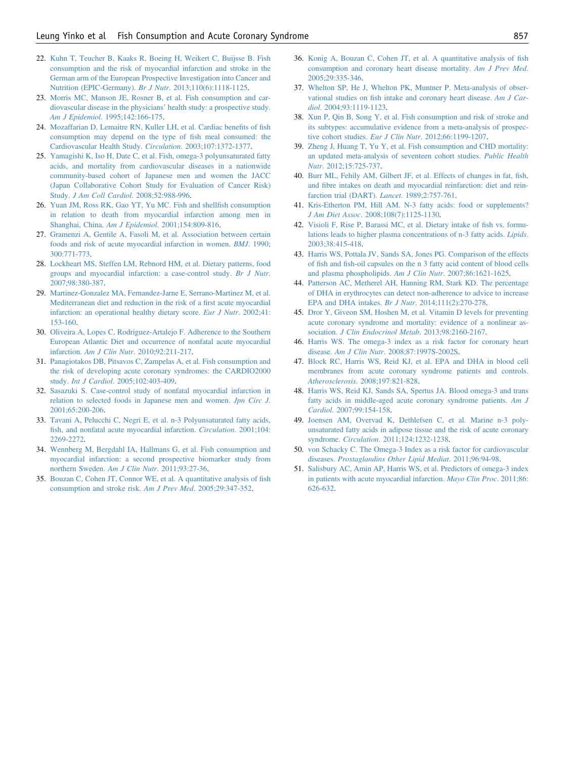- <span id="page-9-0"></span>22. [Kuhn T, Teucher B, Kaaks R, Boeing H, Weikert C, Buijsse B. Fish](http://refhub.elsevier.com/S0002-9343(14)00355-6/sref21) [consumption and the risk of myocardial infarction and stroke in the](http://refhub.elsevier.com/S0002-9343(14)00355-6/sref21) [German arm of the European Prospective Investigation into Cancer and](http://refhub.elsevier.com/S0002-9343(14)00355-6/sref21) [Nutrition \(EPIC-Germany\).](http://refhub.elsevier.com/S0002-9343(14)00355-6/sref21) Br J Nutr. 2013;110(6):1118-1125.
- 23. [Morris MC, Manson JE, Rosner B, et al. Fish consumption and car](http://refhub.elsevier.com/S0002-9343(14)00355-6/sref22)[diovascular disease in the physicians](http://refhub.elsevier.com/S0002-9343(14)00355-6/sref22)' health study: a prospective study. Am J Epidemiol[. 1995;142:166-175.](http://refhub.elsevier.com/S0002-9343(14)00355-6/sref22)
- 24. [Mozaffarian D, Lemaitre RN, Kuller LH, et al. Cardiac bene](http://refhub.elsevier.com/S0002-9343(14)00355-6/sref23)fits of fish [consumption may depend on the type of](http://refhub.elsevier.com/S0002-9343(14)00355-6/sref23) fish meal consumed: the [Cardiovascular Health Study.](http://refhub.elsevier.com/S0002-9343(14)00355-6/sref23) Circulation. 2003;107:1372-1377.
- 25. [Yamagishi K, Iso H, Date C, et al. Fish, omega-3 polyunsaturated fatty](http://refhub.elsevier.com/S0002-9343(14)00355-6/sref24) [acids, and mortality from cardiovascular diseases in a nationwide](http://refhub.elsevier.com/S0002-9343(14)00355-6/sref24) [community-based cohort of Japanese men and women the JACC](http://refhub.elsevier.com/S0002-9343(14)00355-6/sref24) [\(Japan Collaborative Cohort Study for Evaluation of Cancer Risk\)](http://refhub.elsevier.com/S0002-9343(14)00355-6/sref24) Study. [J Am Coll Cardiol](http://refhub.elsevier.com/S0002-9343(14)00355-6/sref24). 2008;52:988-996.
- 26. [Yuan JM, Ross RK, Gao YT, Yu MC. Fish and shell](http://refhub.elsevier.com/S0002-9343(14)00355-6/sref25)fish consumption [in relation to death from myocardial infarction among men in](http://refhub.elsevier.com/S0002-9343(14)00355-6/sref25) Shanghai, China. Am J Epidemiol[. 2001;154:809-816](http://refhub.elsevier.com/S0002-9343(14)00355-6/sref25).
- 27. [Gramenzi A, Gentile A, Fasoli M, et al. Association between certain](http://refhub.elsevier.com/S0002-9343(14)00355-6/sref26) [foods and risk of acute myocardial infarction in women.](http://refhub.elsevier.com/S0002-9343(14)00355-6/sref26) BMJ. 1990; [300:771-773.](http://refhub.elsevier.com/S0002-9343(14)00355-6/sref26)
- 28. [Lockheart MS, Steffen LM, Rebnord HM, et al. Dietary patterns, food](http://refhub.elsevier.com/S0002-9343(14)00355-6/sref27) [groups and myocardial infarction: a case-control study.](http://refhub.elsevier.com/S0002-9343(14)00355-6/sref27) Br J Nutr. [2007;98:380-387.](http://refhub.elsevier.com/S0002-9343(14)00355-6/sref27)
- 29. [Martinez-Gonzalez MA, Fernandez-Jarne E, Serrano-Martinez M, et al.](http://refhub.elsevier.com/S0002-9343(14)00355-6/sref28) [Mediterranean diet and reduction in the risk of a](http://refhub.elsevier.com/S0002-9343(14)00355-6/sref28) first acute myocardial [infarction: an operational healthy dietary score.](http://refhub.elsevier.com/S0002-9343(14)00355-6/sref28) Eur J Nutr. 2002;41: [153-160.](http://refhub.elsevier.com/S0002-9343(14)00355-6/sref28)
- 30. [Oliveira A, Lopes C, Rodriguez-Artalejo F. Adherence to the Southern](http://refhub.elsevier.com/S0002-9343(14)00355-6/sref29) [European Atlantic Diet and occurrence of nonfatal acute myocardial](http://refhub.elsevier.com/S0002-9343(14)00355-6/sref29) infarction. Am J Clin Nutr[. 2010;92:211-217](http://refhub.elsevier.com/S0002-9343(14)00355-6/sref29).
- 31. [Panagiotakos DB, Pitsavos C, Zampelas A, et al. Fish consumption and](http://refhub.elsevier.com/S0002-9343(14)00355-6/sref30) [the risk of developing acute coronary syndromes: the CARDIO2000](http://refhub.elsevier.com/S0002-9343(14)00355-6/sref30) study. Int J Cardiol[. 2005;102:403-409](http://refhub.elsevier.com/S0002-9343(14)00355-6/sref30).
- 32. [Sasazuki S. Case-control study of nonfatal myocardial infarction in](http://refhub.elsevier.com/S0002-9343(14)00355-6/sref31) [relation to selected foods in Japanese men and women.](http://refhub.elsevier.com/S0002-9343(14)00355-6/sref31) Jpn Circ J. [2001;65:200-206.](http://refhub.elsevier.com/S0002-9343(14)00355-6/sref31)
- 33. [Tavani A, Pelucchi C, Negri E, et al. n-3 Polyunsaturated fatty acids,](http://refhub.elsevier.com/S0002-9343(14)00355-6/sref32) fi[sh, and nonfatal acute myocardial infarction.](http://refhub.elsevier.com/S0002-9343(14)00355-6/sref32) Circulation. 2001;104: [2269-2272](http://refhub.elsevier.com/S0002-9343(14)00355-6/sref32).
- 34. [Wennberg M, Bergdahl IA, Hallmans G, et al. Fish consumption and](http://refhub.elsevier.com/S0002-9343(14)00355-6/sref33) [myocardial infarction: a second prospective biomarker study from](http://refhub.elsevier.com/S0002-9343(14)00355-6/sref33) [northern Sweden.](http://refhub.elsevier.com/S0002-9343(14)00355-6/sref33) Am J Clin Nutr. 2011;93:27-36.
- 35. [Bouzan C, Cohen JT, Connor WE, et al. A quantitative analysis of](http://refhub.elsevier.com/S0002-9343(14)00355-6/sref34) fish [consumption and stroke risk.](http://refhub.elsevier.com/S0002-9343(14)00355-6/sref34) Am J Prev Med. 2005;29:347-352.
- 36. [Konig A, Bouzan C, Cohen JT, et al. A quantitative analysis of](http://refhub.elsevier.com/S0002-9343(14)00355-6/sref35) fish [consumption and coronary heart disease mortality.](http://refhub.elsevier.com/S0002-9343(14)00355-6/sref35) Am J Prev Med. [2005;29:335-346.](http://refhub.elsevier.com/S0002-9343(14)00355-6/sref35)
- 37. [Whelton SP, He J, Whelton PK, Muntner P. Meta-analysis of obser](http://refhub.elsevier.com/S0002-9343(14)00355-6/sref36)vational studies on fi[sh intake and coronary heart disease.](http://refhub.elsevier.com/S0002-9343(14)00355-6/sref36) Am J Cardiol[. 2004;93:1119-1123.](http://refhub.elsevier.com/S0002-9343(14)00355-6/sref36)
- 38. [Xun P, Qin B, Song Y, et al. Fish consumption and risk of stroke and](http://refhub.elsevier.com/S0002-9343(14)00355-6/sref37) [its subtypes: accumulative evidence from a meta-analysis of prospec](http://refhub.elsevier.com/S0002-9343(14)00355-6/sref37)tive cohort studies. Eur J Clin Nutr[. 2012;66:1199-1207](http://refhub.elsevier.com/S0002-9343(14)00355-6/sref37).
- 39. [Zheng J, Huang T, Yu Y, et al. Fish consumption and CHD mortality:](http://refhub.elsevier.com/S0002-9343(14)00355-6/sref38) [an updated meta-analysis of seventeen cohort studies.](http://refhub.elsevier.com/S0002-9343(14)00355-6/sref38) Public Health Nutr[. 2012;15:725-737.](http://refhub.elsevier.com/S0002-9343(14)00355-6/sref38)
- 40. [Burr ML, Fehily AM, Gilbert JF, et al. Effects of changes in fat,](http://refhub.elsevier.com/S0002-9343(14)00355-6/sref39) fish, and fi[bre intakes on death and myocardial reinfarction: diet and rein](http://refhub.elsevier.com/S0002-9343(14)00355-6/sref39)[farction trial \(DART\).](http://refhub.elsevier.com/S0002-9343(14)00355-6/sref39) Lancet. 1989;2:757-761.
- 41. [Kris-Etherton PM, Hill AM. N-3 fatty acids: food or supplements?](http://refhub.elsevier.com/S0002-9343(14)00355-6/sref40) J Am Diet Assoc[. 2008;108\(7\):1125-1130](http://refhub.elsevier.com/S0002-9343(14)00355-6/sref40).
- 42. [Visioli F, Rise P, Barassi MC, et al. Dietary intake of](http://refhub.elsevier.com/S0002-9343(14)00355-6/sref41) fish vs. formu[lations leads to higher plasma concentrations of n-3 fatty acids.](http://refhub.elsevier.com/S0002-9343(14)00355-6/sref41) Lipids. [2003;38:415-418.](http://refhub.elsevier.com/S0002-9343(14)00355-6/sref41)
- 43. [Harris WS, Pottala JV, Sands SA, Jones PG. Comparison of the effects](http://refhub.elsevier.com/S0002-9343(14)00355-6/sref42) of fish and fi[sh-oil capsules on the n 3 fatty acid content of blood cells](http://refhub.elsevier.com/S0002-9343(14)00355-6/sref42) [and plasma phospholipids.](http://refhub.elsevier.com/S0002-9343(14)00355-6/sref42) Am J Clin Nutr. 2007;86:1621-1625.
- 44. [Patterson AC, Metherel AH, Hanning RM, Stark KD. The percentage](http://refhub.elsevier.com/S0002-9343(14)00355-6/sref43) [of DHA in erythrocytes can detect non-adherence to advice to increase](http://refhub.elsevier.com/S0002-9343(14)00355-6/sref43) [EPA and DHA intakes.](http://refhub.elsevier.com/S0002-9343(14)00355-6/sref43) Br J Nutr. 2014;111(2):270-278.
- 45. [Dror Y, Giveon SM, Hoshen M, et al. Vitamin D levels for preventing](http://refhub.elsevier.com/S0002-9343(14)00355-6/sref44) [acute coronary syndrome and mortality: evidence of a nonlinear as-](http://refhub.elsevier.com/S0002-9343(14)00355-6/sref44)sociation. [J Clin Endocrinol Metab](http://refhub.elsevier.com/S0002-9343(14)00355-6/sref44). 2013;98:2160-2167.
- 46. [Harris WS. The omega-3 index as a risk factor for coronary heart](http://refhub.elsevier.com/S0002-9343(14)00355-6/sref45) disease. Am J Clin Nutr[. 2008;87:1997S-2002S](http://refhub.elsevier.com/S0002-9343(14)00355-6/sref45).
- 47. [Block RC, Harris WS, Reid KJ, et al. EPA and DHA in blood cell](http://refhub.elsevier.com/S0002-9343(14)00355-6/sref46) [membranes from acute coronary syndrome patients and controls.](http://refhub.elsevier.com/S0002-9343(14)00355-6/sref46) Atherosclerosis[. 2008;197:821-828](http://refhub.elsevier.com/S0002-9343(14)00355-6/sref46).
- 48. [Harris WS, Reid KJ, Sands SA, Spertus JA. Blood omega-3 and trans](http://refhub.elsevier.com/S0002-9343(14)00355-6/sref47) [fatty acids in middle-aged acute coronary syndrome patients.](http://refhub.elsevier.com/S0002-9343(14)00355-6/sref47) Am J Cardiol[. 2007;99:154-158.](http://refhub.elsevier.com/S0002-9343(14)00355-6/sref47)
- 49. [Joensen AM, Overvad K, Dethlefsen C, et al. Marine n-3 poly](http://refhub.elsevier.com/S0002-9343(14)00355-6/sref48)[unsaturated fatty acids in adipose tissue and the risk of acute coronary](http://refhub.elsevier.com/S0002-9343(14)00355-6/sref48) syndrome. Circulation[. 2011;124:1232-1238](http://refhub.elsevier.com/S0002-9343(14)00355-6/sref48).
- 50. [von Schacky C. The Omega-3 Index as a risk factor for cardiovascular](http://refhub.elsevier.com/S0002-9343(14)00355-6/sref49) diseases. [Prostaglandins Other Lipid Mediat](http://refhub.elsevier.com/S0002-9343(14)00355-6/sref49). 2011;96:94-98.
- 51. [Salisbury AC, Amin AP, Harris WS, et al. Predictors of omega-3 index](http://refhub.elsevier.com/S0002-9343(14)00355-6/sref50) [in patients with acute myocardial infarction.](http://refhub.elsevier.com/S0002-9343(14)00355-6/sref50) Mayo Clin Proc. 2011;86: [626-632.](http://refhub.elsevier.com/S0002-9343(14)00355-6/sref50)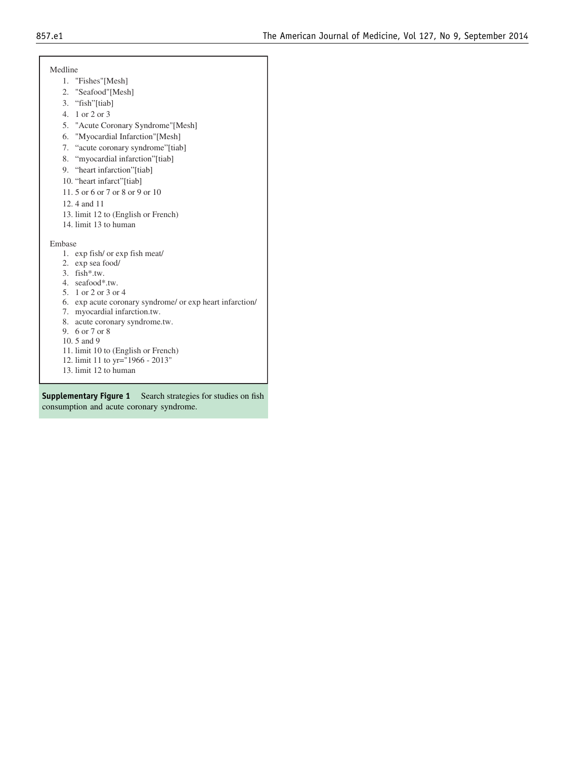Medline

- 1. "Fishes"[Mesh]
- 2. "Seafood"[Mesh]
- 3. "fish"[tiab]
- 4. 1 or 2 or 3
- 5. "Acute Coronary Syndrome"[Mesh]
- 6. "Myocardial Infarction"[Mesh]
- 7. "acute coronary syndrome"[tiab]
- 8. "myocardial infarction"[tiab]
- 9. "heart infarction"[tiab]
- 10. "heart infarct"[tiab]
- 11. 5 or 6 or 7 or 8 or 9 or 10
- 12. 4 and 11
- 13. limit 12 to (English or French)
- 14. limit 13 to human

Embase

- 1. exp fish/ or exp fish meat/
- 2. exp sea food/
- 3. fish\*.tw.
- 4. seafood\*.tw.
- 5. 1 or 2 or 3 or 4
- 6. exp acute coronary syndrome/ or exp heart infarction/
- 7. myocardial infarction.tw.
- 8. acute coronary syndrome.tw.
- 9. 6 or 7 or 8
- 10. 5 and 9
- 11. limit 10 to (English or French)
- 12. limit 11 to yr="1966 2013"
- 13. limit 12 to human

Supplementary Figure 1 Search strategies for studies on fish consumption and acute coronary syndrome.